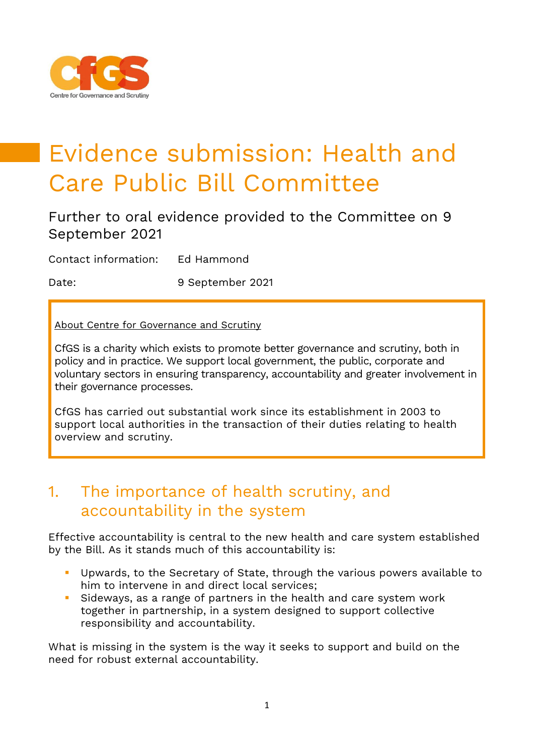

# Evidence submission: Health and Care Public Bill Committee

# Further to oral evidence provided to the Committee on 9 September 2021

Contact information: Ed Hammond

Date: 9 September 2021

About Centre for Governance and Scrutiny

CfGS is a charity which exists to promote better governance and scrutiny, both in policy and in practice. We support local government, the public, corporate and voluntary sectors in ensuring transparency, accountability and greater involvement in their governance processes.

CfGS has carried out substantial work since its establishment in 2003 to support local authorities in the transaction of their duties relating to health overview and scrutiny.

# 1. The importance of health scrutiny, and accountability in the system

Effective accountability is central to the new health and care system established by the Bill. As it stands much of this accountability is:

- Upwards, to the Secretary of State, through the various powers available to him to intervene in and direct local services;
- Sideways, as a range of partners in the health and care system work together in partnership, in a system designed to support collective responsibility and accountability.

What is missing in the system is the way it seeks to support and build on the need for robust external accountability.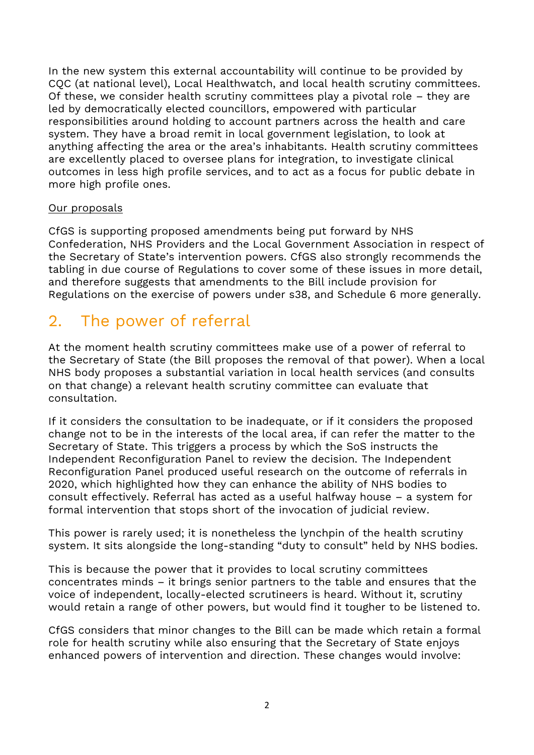In the new system this external accountability will continue to be provided by CQC (at national level), Local Healthwatch, and local health scrutiny committees. Of these, we consider health scrutiny committees play a pivotal role – they are led by democratically elected councillors, empowered with particular responsibilities around holding to account partners across the health and care system. They have a broad remit in local government legislation, to look at anything affecting the area or the area's inhabitants. Health scrutiny committees are excellently placed to oversee plans for integration, to investigate clinical outcomes in less high profile services, and to act as a focus for public debate in more high profile ones.

# Our proposals

CfGS is supporting proposed amendments being put forward by NHS Confederation, NHS Providers and the Local Government Association in respect of the Secretary of State's intervention powers. CfGS also strongly recommends the tabling in due course of Regulations to cover some of these issues in more detail, and therefore suggests that amendments to the Bill include provision for Regulations on the exercise of powers under s38, and Schedule 6 more generally.

# 2. The power of referral

At the moment health scrutiny committees make use of a power of referral to the Secretary of State (the Bill proposes the removal of that power). When a local NHS body proposes a substantial variation in local health services (and consults on that change) a relevant health scrutiny committee can evaluate that consultation.

If it considers the consultation to be inadequate, or if it considers the proposed change not to be in the interests of the local area, if can refer the matter to the Secretary of State. This triggers a process by which the SoS instructs the Independent Reconfiguration Panel to review the decision. The Independent Reconfiguration Panel produced useful research on the outcome of referrals in 2020, which highlighted how they can enhance the ability of NHS bodies to consult effectively. Referral has acted as a useful halfway house – a system for formal intervention that stops short of the invocation of judicial review.

This power is rarely used; it is nonetheless the lynchpin of the health scrutiny system. It sits alongside the long-standing "duty to consult" held by NHS bodies.

This is because the power that it provides to local scrutiny committees concentrates minds – it brings senior partners to the table and ensures that the voice of independent, locally-elected scrutineers is heard. Without it, scrutiny would retain a range of other powers, but would find it tougher to be listened to.

CfGS considers that minor changes to the Bill can be made which retain a formal role for health scrutiny while also ensuring that the Secretary of State enjoys enhanced powers of intervention and direction. These changes would involve: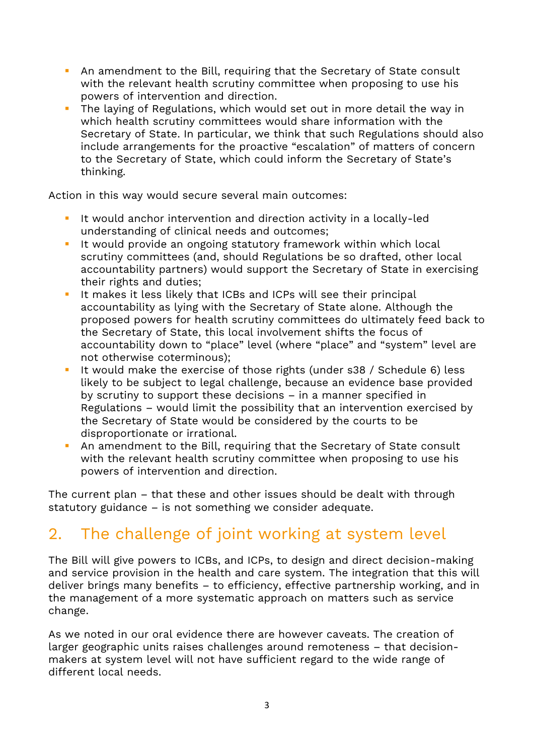- **E** An amendment to the Bill, requiring that the Secretary of State consult with the relevant health scrutiny committee when proposing to use his powers of intervention and direction.
- The laying of Regulations, which would set out in more detail the way in which health scrutiny committees would share information with the Secretary of State. In particular, we think that such Regulations should also include arrangements for the proactive "escalation" of matters of concern to the Secretary of State, which could inform the Secretary of State's thinking.

Action in this way would secure several main outcomes:

- It would anchor intervention and direction activity in a locally-led understanding of clinical needs and outcomes;
- **E** It would provide an ongoing statutory framework within which local scrutiny committees (and, should Regulations be so drafted, other local accountability partners) would support the Secretary of State in exercising their rights and duties;
- **E** It makes it less likely that ICBs and ICPs will see their principal accountability as lying with the Secretary of State alone. Although the proposed powers for health scrutiny committees do ultimately feed back to the Secretary of State, this local involvement shifts the focus of accountability down to "place" level (where "place" and "system" level are not otherwise coterminous);
- It would make the exercise of those rights (under s38 / Schedule 6) less likely to be subject to legal challenge, because an evidence base provided by scrutiny to support these decisions – in a manner specified in Regulations – would limit the possibility that an intervention exercised by the Secretary of State would be considered by the courts to be disproportionate or irrational.
- **E** An amendment to the Bill, requiring that the Secretary of State consult with the relevant health scrutiny committee when proposing to use his powers of intervention and direction.

The current plan – that these and other issues should be dealt with through statutory guidance – is not something we consider adequate.

# 2. The challenge of joint working at system level

The Bill will give powers to ICBs, and ICPs, to design and direct decision-making and service provision in the health and care system. The integration that this will deliver brings many benefits – to efficiency, effective partnership working, and in the management of a more systematic approach on matters such as service change.

As we noted in our oral evidence there are however caveats. The creation of larger geographic units raises challenges around remoteness – that decisionmakers at system level will not have sufficient regard to the wide range of different local needs.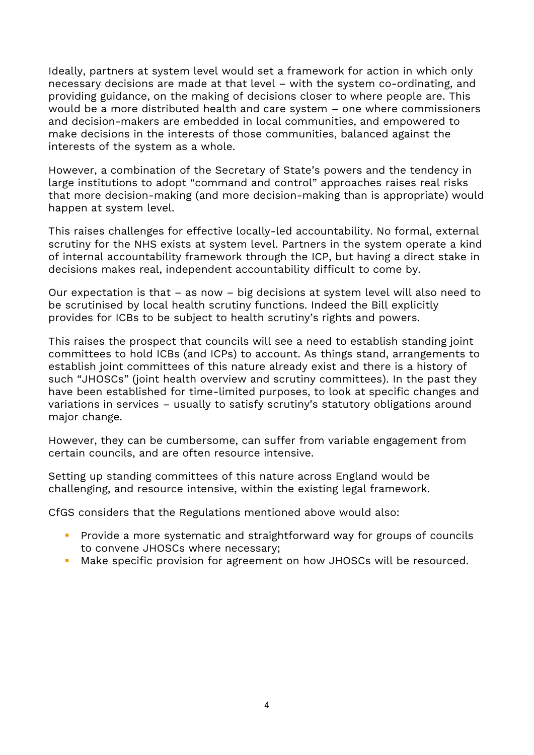Ideally, partners at system level would set a framework for action in which only necessary decisions are made at that level – with the system co-ordinating, and providing guidance, on the making of decisions closer to where people are. This would be a more distributed health and care system – one where commissioners and decision-makers are embedded in local communities, and empowered to make decisions in the interests of those communities, balanced against the interests of the system as a whole.

However, a combination of the Secretary of State's powers and the tendency in large institutions to adopt "command and control" approaches raises real risks that more decision-making (and more decision-making than is appropriate) would happen at system level.

This raises challenges for effective locally-led accountability. No formal, external scrutiny for the NHS exists at system level. Partners in the system operate a kind of internal accountability framework through the ICP, but having a direct stake in decisions makes real, independent accountability difficult to come by.

Our expectation is that – as now – big decisions at system level will also need to be scrutinised by local health scrutiny functions. Indeed the Bill explicitly provides for ICBs to be subject to health scrutiny's rights and powers.

This raises the prospect that councils will see a need to establish standing joint committees to hold ICBs (and ICPs) to account. As things stand, arrangements to establish joint committees of this nature already exist and there is a history of such "JHOSCs" (joint health overview and scrutiny committees). In the past they have been established for time-limited purposes, to look at specific changes and variations in services – usually to satisfy scrutiny's statutory obligations around major change.

However, they can be cumbersome, can suffer from variable engagement from certain councils, and are often resource intensive.

Setting up standing committees of this nature across England would be challenging, and resource intensive, within the existing legal framework.

CfGS considers that the Regulations mentioned above would also:

- **•** Provide a more systematic and straightforward way for groups of councils to convene JHOSCs where necessary;
- Make specific provision for agreement on how JHOSCs will be resourced.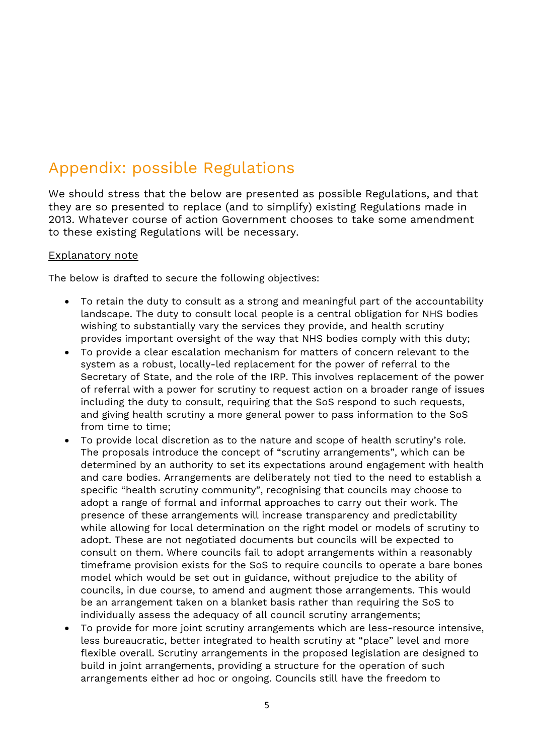# Appendix: possible Regulations

We should stress that the below are presented as possible Regulations, and that they are so presented to replace (and to simplify) existing Regulations made in 2013. Whatever course of action Government chooses to take some amendment to these existing Regulations will be necessary.

#### Explanatory note

The below is drafted to secure the following objectives:

- To retain the duty to consult as a strong and meaningful part of the accountability landscape. The duty to consult local people is a central obligation for NHS bodies wishing to substantially vary the services they provide, and health scrutiny provides important oversight of the way that NHS bodies comply with this duty;
- To provide a clear escalation mechanism for matters of concern relevant to the system as a robust, locally-led replacement for the power of referral to the Secretary of State, and the role of the IRP. This involves replacement of the power of referral with a power for scrutiny to request action on a broader range of issues including the duty to consult, requiring that the SoS respond to such requests, and giving health scrutiny a more general power to pass information to the SoS from time to time;
- To provide local discretion as to the nature and scope of health scrutiny's role. The proposals introduce the concept of "scrutiny arrangements", which can be determined by an authority to set its expectations around engagement with health and care bodies. Arrangements are deliberately not tied to the need to establish a specific "health scrutiny community", recognising that councils may choose to adopt a range of formal and informal approaches to carry out their work. The presence of these arrangements will increase transparency and predictability while allowing for local determination on the right model or models of scrutiny to adopt. These are not negotiated documents but councils will be expected to consult on them. Where councils fail to adopt arrangements within a reasonably timeframe provision exists for the SoS to require councils to operate a bare bones model which would be set out in guidance, without prejudice to the ability of councils, in due course, to amend and augment those arrangements. This would be an arrangement taken on a blanket basis rather than requiring the SoS to individually assess the adequacy of all council scrutiny arrangements;
- To provide for more joint scrutiny arrangements which are less-resource intensive, less bureaucratic, better integrated to health scrutiny at "place" level and more flexible overall. Scrutiny arrangements in the proposed legislation are designed to build in joint arrangements, providing a structure for the operation of such arrangements either ad hoc or ongoing. Councils still have the freedom to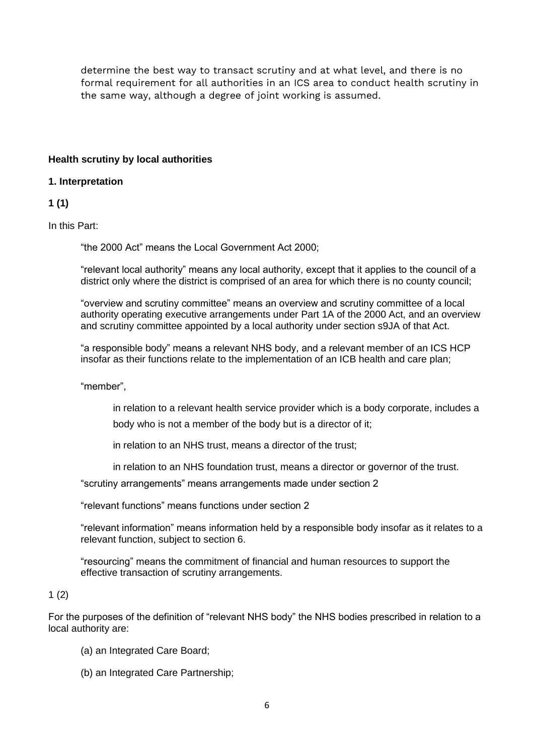determine the best way to transact scrutiny and at what level, and there is no formal requirement for all authorities in an ICS area to conduct health scrutiny in the same way, although a degree of joint working is assumed.

#### **Health scrutiny by local authorities**

#### **1. Interpretation**

#### **1 (1)**

In this Part:

"the 2000 Act" means the Local Government Act 2000;

"relevant local authority" means any local authority, except that it applies to the council of a district only where the district is comprised of an area for which there is no county council;

"overview and scrutiny committee" means an overview and scrutiny committee of a local authority operating executive arrangements under Part 1A of the 2000 Act, and an overview and scrutiny committee appointed by a local authority under section s9JA of that Act.

"a responsible body" means a relevant NHS body, and a relevant member of an ICS HCP insofar as their functions relate to the implementation of an ICB health and care plan;

"member",

in relation to a relevant health service provider which is a body corporate, includes a body who is not a member of the body but is a director of it;

in relation to an NHS trust, means a director of the trust;

in relation to an NHS foundation trust, means a director or governor of the trust.

"scrutiny arrangements" means arrangements made under section 2

"relevant functions" means functions under section 2

"relevant information" means information held by a responsible body insofar as it relates to a relevant function, subject to section 6.

"resourcing" means the commitment of financial and human resources to support the effective transaction of scrutiny arrangements.

#### $1(2)$

For the purposes of the definition of "relevant NHS body" the NHS bodies prescribed in relation to a local authority are:

- (a) an Integrated Care Board;
- (b) an Integrated Care Partnership;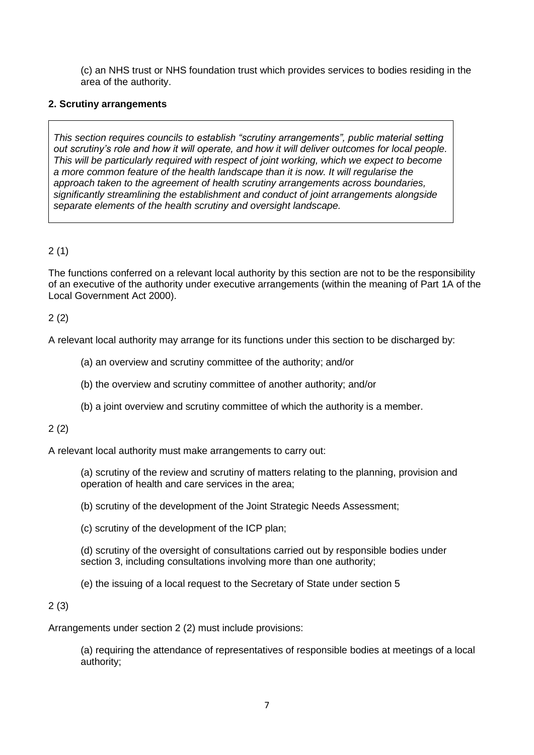(c) an NHS trust or NHS foundation trust which provides services to bodies residing in the area of the authority.

#### **2. Scrutiny arrangements**

*This section requires councils to establish "scrutiny arrangements", public material setting out scrutiny's role and how it will operate, and how it will deliver outcomes for local people. This will be particularly required with respect of joint working, which we expect to become a more common feature of the health landscape than it is now. It will regularise the approach taken to the agreement of health scrutiny arrangements across boundaries, significantly streamlining the establishment and conduct of joint arrangements alongside separate elements of the health scrutiny and oversight landscape.* 

# 2 (1)

The functions conferred on a relevant local authority by this section are not to be the responsibility of an executive of the authority under executive arrangements (within the meaning of Part 1A of the Local Government Act 2000).

#### 2 (2)

A relevant local authority may arrange for its functions under this section to be discharged by:

(a) an overview and scrutiny committee of the authority; and/or

(b) the overview and scrutiny committee of another authority; and/or

(b) a joint overview and scrutiny committee of which the authority is a member.

#### 2 (2)

A relevant local authority must make arrangements to carry out:

(a) scrutiny of the review and scrutiny of matters relating to the planning, provision and operation of health and care services in the area;

(b) scrutiny of the development of the Joint Strategic Needs Assessment;

(c) scrutiny of the development of the ICP plan;

(d) scrutiny of the oversight of consultations carried out by responsible bodies under section 3, including consultations involving more than one authority;

(e) the issuing of a local request to the Secretary of State under section 5

#### 2 (3)

Arrangements under section 2 (2) must include provisions:

(a) requiring the attendance of representatives of responsible bodies at meetings of a local authority;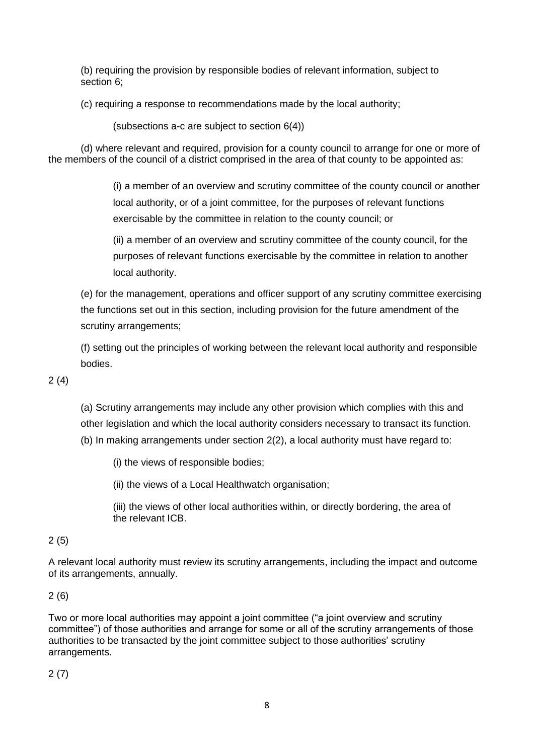(b) requiring the provision by responsible bodies of relevant information, subject to section 6;

(c) requiring a response to recommendations made by the local authority;

(subsections a-c are subject to section 6(4))

(d) where relevant and required, provision for a county council to arrange for one or more of the members of the council of a district comprised in the area of that county to be appointed as:

> (i) a member of an overview and scrutiny committee of the county council or another local authority, or of a joint committee, for the purposes of relevant functions exercisable by the committee in relation to the county council; or

(ii) a member of an overview and scrutiny committee of the county council, for the purposes of relevant functions exercisable by the committee in relation to another local authority.

(e) for the management, operations and officer support of any scrutiny committee exercising the functions set out in this section, including provision for the future amendment of the scrutiny arrangements;

(f) setting out the principles of working between the relevant local authority and responsible bodies.

# 2 (4)

(a) Scrutiny arrangements may include any other provision which complies with this and other legislation and which the local authority considers necessary to transact its function. (b) In making arrangements under section 2(2), a local authority must have regard to:

(i) the views of responsible bodies;

(ii) the views of a Local Healthwatch organisation;

(iii) the views of other local authorities within, or directly bordering, the area of the relevant ICB.

# 2 (5)

A relevant local authority must review its scrutiny arrangements, including the impact and outcome of its arrangements, annually.

# 2 (6)

Two or more local authorities may appoint a joint committee ("a joint overview and scrutiny committee") of those authorities and arrange for some or all of the scrutiny arrangements of those authorities to be transacted by the joint committee subject to those authorities' scrutiny arrangements.

2 (7)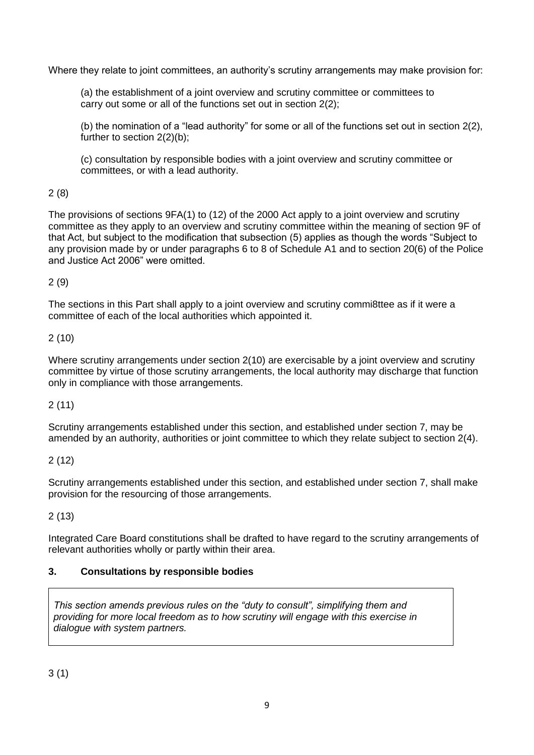Where they relate to joint committees, an authority's scrutiny arrangements may make provision for:

(a) the establishment of a joint overview and scrutiny committee or committees to carry out some or all of the functions set out in section 2(2);

(b) the nomination of a "lead authority" for some or all of the functions set out in section 2(2), further to section 2(2)(b);

(c) consultation by responsible bodies with a joint overview and scrutiny committee or committees, or with a lead authority.

# 2 (8)

The provisions of sections 9FA(1) to (12) of the 2000 Act apply to a joint overview and scrutiny committee as they apply to an overview and scrutiny committee within the meaning of section 9F of that Act, but subject to the modification that subsection (5) applies as though the words "Subject to any provision made by or under paragraphs 6 to 8 of Schedule A1 and to section 20(6) of the Police and Justice Act 2006" were omitted.

# 2 (9)

The sections in this Part shall apply to a joint overview and scrutiny commi8ttee as if it were a committee of each of the local authorities which appointed it.

# 2 (10)

Where scrutiny arrangements under section 2(10) are exercisable by a joint overview and scrutiny committee by virtue of those scrutiny arrangements, the local authority may discharge that function only in compliance with those arrangements.

# 2 (11)

Scrutiny arrangements established under this section, and established under section 7, may be amended by an authority, authorities or joint committee to which they relate subject to section 2(4).

# 2 (12)

Scrutiny arrangements established under this section, and established under section 7, shall make provision for the resourcing of those arrangements.

# 2 (13)

Integrated Care Board constitutions shall be drafted to have regard to the scrutiny arrangements of relevant authorities wholly or partly within their area.

# **3. Consultations by responsible bodies**

*This section amends previous rules on the "duty to consult", simplifying them and providing for more local freedom as to how scrutiny will engage with this exercise in dialogue with system partners.*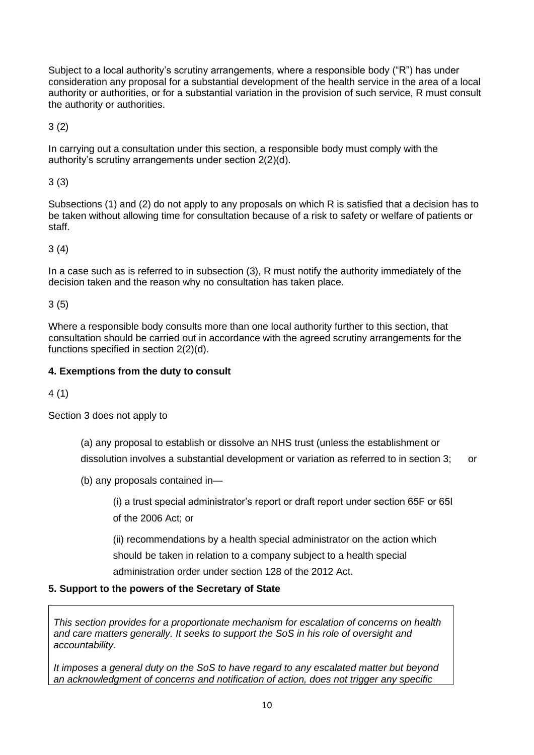Subject to a local authority's scrutiny arrangements, where a responsible body ("R") has under consideration any proposal for a substantial development of the health service in the area of a local authority or authorities, or for a substantial variation in the provision of such service, R must consult the authority or authorities.

3 (2)

In carrying out a consultation under this section, a responsible body must comply with the authority's scrutiny arrangements under section 2(2)(d).

3 (3)

Subsections (1) and (2) do not apply to any proposals on which R is satisfied that a decision has to be taken without allowing time for consultation because of a risk to safety or welfare of patients or staff.

3 (4)

In a case such as is referred to in subsection (3), R must notify the authority immediately of the decision taken and the reason why no consultation has taken place.

3 (5)

Where a responsible body consults more than one local authority further to this section, that consultation should be carried out in accordance with the agreed scrutiny arrangements for the functions specified in section 2(2)(d).

# **4. Exemptions from the duty to consult**

4 (1)

Section 3 does not apply to

(a) any proposal to establish or dissolve an NHS trust (unless the establishment or dissolution involves a substantial development or variation as referred to in section 3; or

(b) any proposals contained in—

(i) a trust special administrator's report or draft report under section 65F or 65I of the 2006 Act; or

(ii) recommendations by a health special administrator on the action which should be taken in relation to a company subject to a health special administration order under section 128 of the 2012 Act.

# **5. Support to the powers of the Secretary of State**

*This section provides for a proportionate mechanism for escalation of concerns on health and care matters generally. It seeks to support the SoS in his role of oversight and accountability.* 

*It imposes a general duty on the SoS to have regard to any escalated matter but beyond an acknowledgment of concerns and notification of action, does not trigger any specific*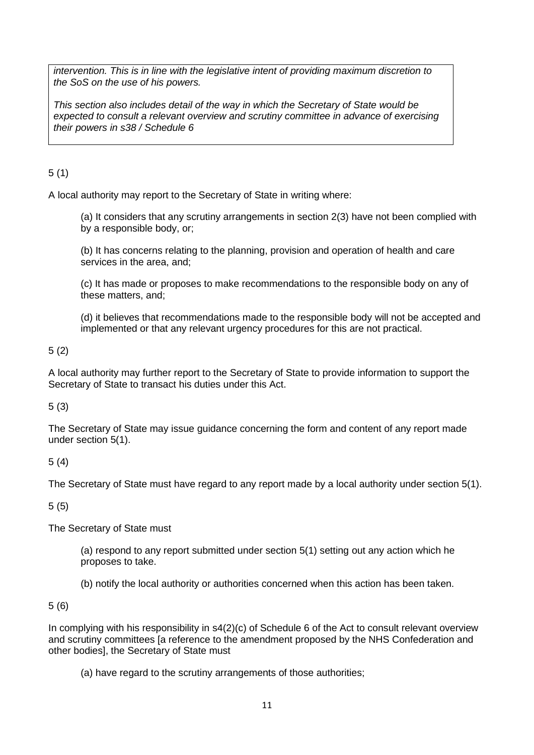*intervention. This is in line with the legislative intent of providing maximum discretion to the SoS on the use of his powers.* 

*This section also includes detail of the way in which the Secretary of State would be expected to consult a relevant overview and scrutiny committee in advance of exercising their powers in s38 / Schedule 6*

# 5 (1)

A local authority may report to the Secretary of State in writing where:

(a) It considers that any scrutiny arrangements in section 2(3) have not been complied with by a responsible body, or;

(b) It has concerns relating to the planning, provision and operation of health and care services in the area, and;

(c) It has made or proposes to make recommendations to the responsible body on any of these matters, and;

(d) it believes that recommendations made to the responsible body will not be accepted and implemented or that any relevant urgency procedures for this are not practical.

5 (2)

A local authority may further report to the Secretary of State to provide information to support the Secretary of State to transact his duties under this Act.

# 5 (3)

The Secretary of State may issue guidance concerning the form and content of any report made under section 5(1).

# 5 (4)

The Secretary of State must have regard to any report made by a local authority under section 5(1).

5 (5)

The Secretary of State must

(a) respond to any report submitted under section 5(1) setting out any action which he proposes to take.

(b) notify the local authority or authorities concerned when this action has been taken.

5 (6)

In complying with his responsibility in s4(2)(c) of Schedule 6 of the Act to consult relevant overview and scrutiny committees [a reference to the amendment proposed by the NHS Confederation and other bodies], the Secretary of State must

(a) have regard to the scrutiny arrangements of those authorities;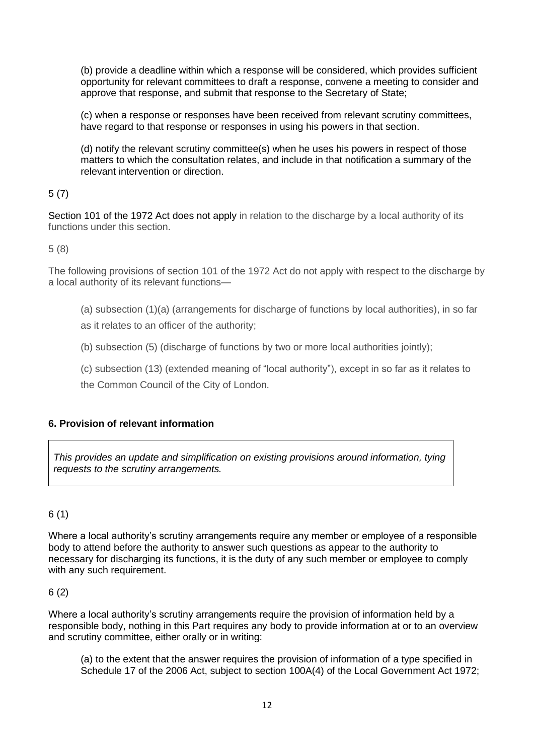(b) provide a deadline within which a response will be considered, which provides sufficient opportunity for relevant committees to draft a response, convene a meeting to consider and approve that response, and submit that response to the Secretary of State;

(c) when a response or responses have been received from relevant scrutiny committees, have regard to that response or responses in using his powers in that section.

(d) notify the relevant scrutiny committee(s) when he uses his powers in respect of those matters to which the consultation relates, and include in that notification a summary of the relevant intervention or direction.

# 5 (7)

Section 101 of the 1972 Act does not apply in relation to the discharge by a local authority of its functions under this section.

5 (8)

The following provisions of section 101 of the 1972 Act do not apply with respect to the discharge by a local authority of its relevant functions—

- (a) subsection (1)(a) (arrangements for discharge of functions by local authorities), in so far
- as it relates to an officer of the authority;
- (b) subsection (5) (discharge of functions by two or more local authorities jointly);
- (c) subsection (13) (extended meaning of "local authority"), except in so far as it relates to
- the Common Council of the City of London.

# **6. Provision of relevant information**

*This provides an update and simplification on existing provisions around information, tying requests to the scrutiny arrangements.* 

# 6 (1)

Where a local authority's scrutiny arrangements require any member or employee of a responsible body to attend before the authority to answer such questions as appear to the authority to necessary for discharging its functions, it is the duty of any such member or employee to comply with any such requirement.

# 6 (2)

Where a local authority's scrutiny arrangements require the provision of information held by a responsible body, nothing in this Part requires any body to provide information at or to an overview and scrutiny committee, either orally or in writing:

(a) to the extent that the answer requires the provision of information of a type specified in Schedule 17 of the 2006 Act, subject to section 100A(4) of the Local Government Act 1972;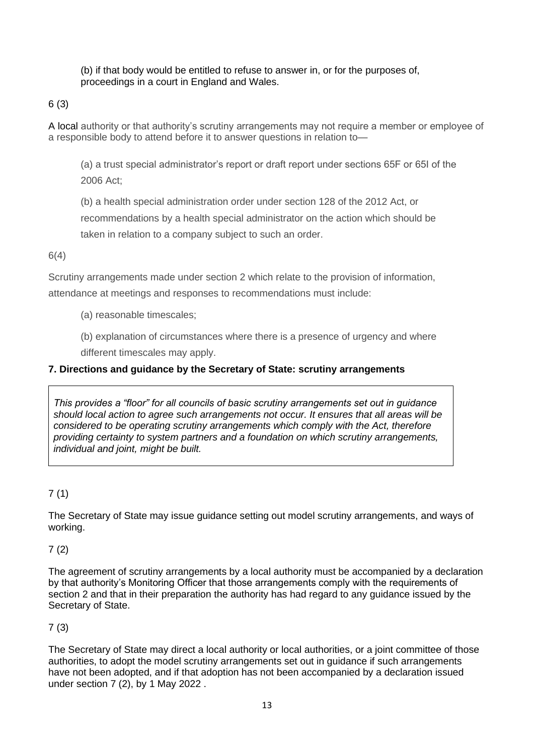(b) if that body would be entitled to refuse to answer in, or for the purposes of, proceedings in a court in England and Wales.

6 (3)

A local authority or that authority's scrutiny arrangements may not require a member or employee of a responsible body to attend before it to answer questions in relation to—

(a) a trust special administrator's report or draft report under sections 65F or 65I of the 2006 Act;

(b) a health special administration order under section 128 of the 2012 Act, or

recommendations by a health special administrator on the action which should be taken in relation to a company subject to such an order.

6(4)

Scrutiny arrangements made under section 2 which relate to the provision of information, attendance at meetings and responses to recommendations must include:

(a) reasonable timescales;

(b) explanation of circumstances where there is a presence of urgency and where different timescales may apply.

# **7. Directions and guidance by the Secretary of State: scrutiny arrangements**

*This provides a "floor" for all councils of basic scrutiny arrangements set out in guidance should local action to agree such arrangements not occur. It ensures that all areas will be considered to be operating scrutiny arrangements which comply with the Act, therefore providing certainty to system partners and a foundation on which scrutiny arrangements, individual and joint, might be built.* 

# 7 (1)

The Secretary of State may issue guidance setting out model scrutiny arrangements, and ways of working.

7 (2)

The agreement of scrutiny arrangements by a local authority must be accompanied by a declaration by that authority's Monitoring Officer that those arrangements comply with the requirements of section 2 and that in their preparation the authority has had regard to any guidance issued by the Secretary of State.

# 7 (3)

The Secretary of State may direct a local authority or local authorities, or a joint committee of those authorities, to adopt the model scrutiny arrangements set out in guidance if such arrangements have not been adopted, and if that adoption has not been accompanied by a declaration issued under section 7 (2), by 1 May 2022 .